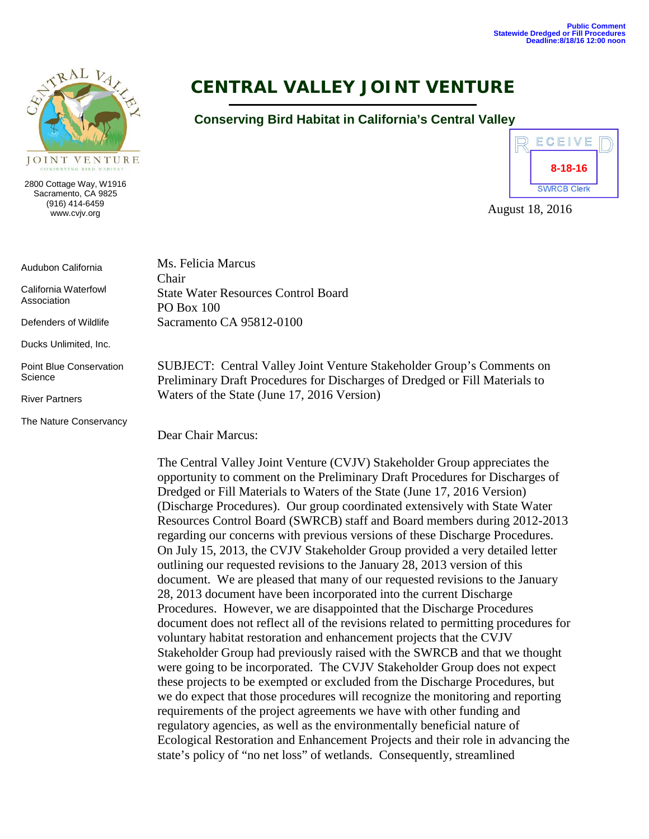

2800 Cottage Way, W1916 Sacramento, CA 9825 (916) 414-6459 www.cvjv.org

Audubon California

California Waterfowl Association

Defenders of Wildlife

Ducks Unlimited, Inc.

Point Blue Conservation **Science** 

River Partners

The Nature Conservancy

# **CENTRAL VALLEY JOINT VENTURE**

## **Conserving Bird Habitat in California's Central Valley**



August 18, 2016

Ms. Felicia Marcus Chair State Water Resources Control Board PO Box 100 Sacramento CA 95812-0100

SUBJECT: Central Valley Joint Venture Stakeholder Group's Comments on Preliminary Draft Procedures for Discharges of Dredged or Fill Materials to Waters of the State (June 17, 2016 Version)

Dear Chair Marcus:

The Central Valley Joint Venture (CVJV) Stakeholder Group appreciates the opportunity to comment on the Preliminary Draft Procedures for Discharges of Dredged or Fill Materials to Waters of the State (June 17, 2016 Version) (Discharge Procedures). Our group coordinated extensively with State Water Resources Control Board (SWRCB) staff and Board members during 2012-2013 regarding our concerns with previous versions of these Discharge Procedures. On July 15, 2013, the CVJV Stakeholder Group provided a very detailed letter outlining our requested revisions to the January 28, 2013 version of this document. We are pleased that many of our requested revisions to the January 28, 2013 document have been incorporated into the current Discharge Procedures. However, we are disappointed that the Discharge Procedures document does not reflect all of the revisions related to permitting procedures for voluntary habitat restoration and enhancement projects that the CVJV Stakeholder Group had previously raised with the SWRCB and that we thought were going to be incorporated. The CVJV Stakeholder Group does not expect these projects to be exempted or excluded from the Discharge Procedures, but we do expect that those procedures will recognize the monitoring and reporting requirements of the project agreements we have with other funding and regulatory agencies, as well as the environmentally beneficial nature of Ecological Restoration and Enhancement Projects and their role in advancing the state's policy of "no net loss" of wetlands. Consequently, streamlined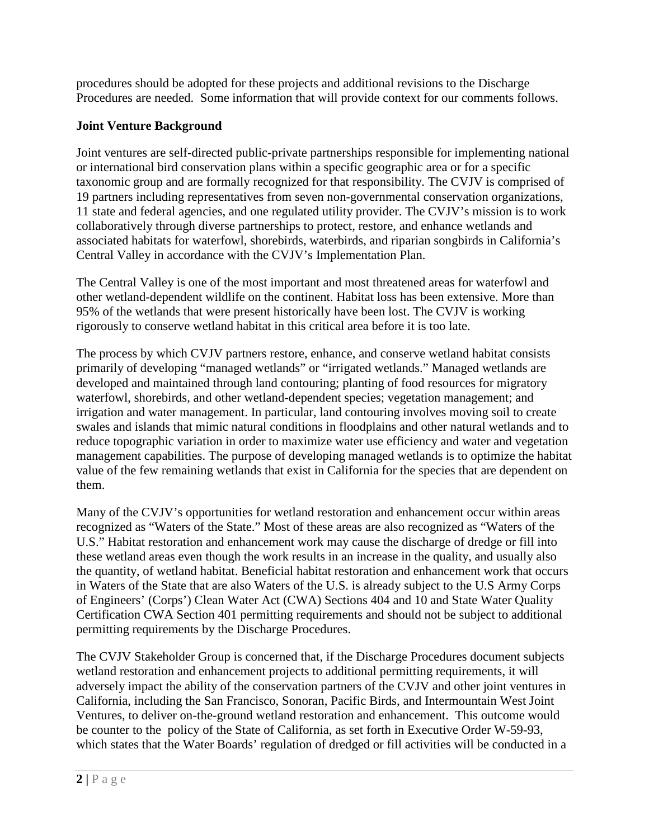procedures should be adopted for these projects and additional revisions to the Discharge Procedures are needed. Some information that will provide context for our comments follows.

## **Joint Venture Background**

Joint ventures are self-directed public-private partnerships responsible for implementing national or international bird conservation plans within a specific geographic area or for a specific taxonomic group and are formally recognized for that responsibility. The CVJV is comprised of 19 partners including representatives from seven non-governmental conservation organizations, 11 state and federal agencies, and one regulated utility provider. The CVJV's mission is to work collaboratively through diverse partnerships to protect, restore, and enhance wetlands and associated habitats for waterfowl, shorebirds, waterbirds, and riparian songbirds in California's Central Valley in accordance with the CVJV's Implementation Plan.

The Central Valley is one of the most important and most threatened areas for waterfowl and other wetland-dependent wildlife on the continent. Habitat loss has been extensive. More than 95% of the wetlands that were present historically have been lost. The CVJV is working rigorously to conserve wetland habitat in this critical area before it is too late.

The process by which CVJV partners restore, enhance, and conserve wetland habitat consists primarily of developing "managed wetlands" or "irrigated wetlands." Managed wetlands are developed and maintained through land contouring; planting of food resources for migratory waterfowl, shorebirds, and other wetland-dependent species; vegetation management; and irrigation and water management. In particular, land contouring involves moving soil to create swales and islands that mimic natural conditions in floodplains and other natural wetlands and to reduce topographic variation in order to maximize water use efficiency and water and vegetation management capabilities. The purpose of developing managed wetlands is to optimize the habitat value of the few remaining wetlands that exist in California for the species that are dependent on them.

Many of the CVJV's opportunities for wetland restoration and enhancement occur within areas recognized as "Waters of the State." Most of these areas are also recognized as "Waters of the U.S." Habitat restoration and enhancement work may cause the discharge of dredge or fill into these wetland areas even though the work results in an increase in the quality, and usually also the quantity, of wetland habitat. Beneficial habitat restoration and enhancement work that occurs in Waters of the State that are also Waters of the U.S. is already subject to the U.S Army Corps of Engineers' (Corps') Clean Water Act (CWA) Sections 404 and 10 and State Water Quality Certification CWA Section 401 permitting requirements and should not be subject to additional permitting requirements by the Discharge Procedures.

The CVJV Stakeholder Group is concerned that, if the Discharge Procedures document subjects wetland restoration and enhancement projects to additional permitting requirements, it will adversely impact the ability of the conservation partners of the CVJV and other joint ventures in California, including the San Francisco, Sonoran, Pacific Birds, and Intermountain West Joint Ventures, to deliver on-the-ground wetland restoration and enhancement. This outcome would be counter to the policy of the State of California, as set forth in Executive Order W-59-93, which states that the Water Boards' regulation of dredged or fill activities will be conducted in a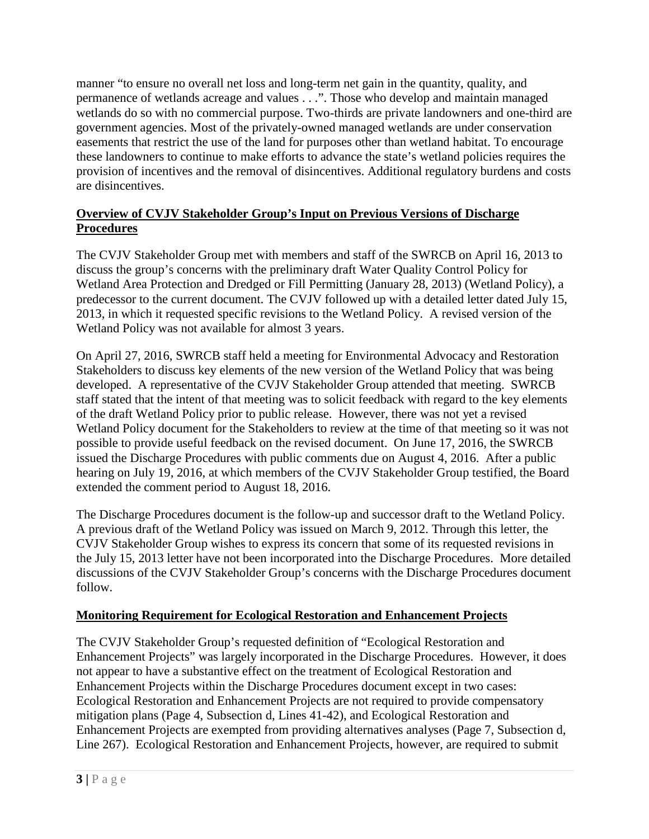manner "to ensure no overall net loss and long-term net gain in the quantity, quality, and permanence of wetlands acreage and values . . .". Those who develop and maintain managed wetlands do so with no commercial purpose. Two-thirds are private landowners and one-third are government agencies. Most of the privately-owned managed wetlands are under conservation easements that restrict the use of the land for purposes other than wetland habitat. To encourage these landowners to continue to make efforts to advance the state's wetland policies requires the provision of incentives and the removal of disincentives. Additional regulatory burdens and costs are disincentives.

#### **Overview of CVJV Stakeholder Group's Input on Previous Versions of Discharge Procedures**

The CVJV Stakeholder Group met with members and staff of the SWRCB on April 16, 2013 to discuss the group's concerns with the preliminary draft Water Quality Control Policy for Wetland Area Protection and Dredged or Fill Permitting (January 28, 2013) (Wetland Policy), a predecessor to the current document. The CVJV followed up with a detailed letter dated July 15, 2013, in which it requested specific revisions to the Wetland Policy. A revised version of the Wetland Policy was not available for almost 3 years.

On April 27, 2016, SWRCB staff held a meeting for Environmental Advocacy and Restoration Stakeholders to discuss key elements of the new version of the Wetland Policy that was being developed. A representative of the CVJV Stakeholder Group attended that meeting. SWRCB staff stated that the intent of that meeting was to solicit feedback with regard to the key elements of the draft Wetland Policy prior to public release. However, there was not yet a revised Wetland Policy document for the Stakeholders to review at the time of that meeting so it was not possible to provide useful feedback on the revised document. On June 17, 2016, the SWRCB issued the Discharge Procedures with public comments due on August 4, 2016. After a public hearing on July 19, 2016, at which members of the CVJV Stakeholder Group testified, the Board extended the comment period to August 18, 2016.

The Discharge Procedures document is the follow-up and successor draft to the Wetland Policy. A previous draft of the Wetland Policy was issued on March 9, 2012. Through this letter, the CVJV Stakeholder Group wishes to express its concern that some of its requested revisions in the July 15, 2013 letter have not been incorporated into the Discharge Procedures. More detailed discussions of the CVJV Stakeholder Group's concerns with the Discharge Procedures document follow.

#### **Monitoring Requirement for Ecological Restoration and Enhancement Projects**

The CVJV Stakeholder Group's requested definition of "Ecological Restoration and Enhancement Projects" was largely incorporated in the Discharge Procedures. However, it does not appear to have a substantive effect on the treatment of Ecological Restoration and Enhancement Projects within the Discharge Procedures document except in two cases: Ecological Restoration and Enhancement Projects are not required to provide compensatory mitigation plans (Page 4, Subsection d, Lines 41-42), and Ecological Restoration and Enhancement Projects are exempted from providing alternatives analyses (Page 7, Subsection d, Line 267). Ecological Restoration and Enhancement Projects, however, are required to submit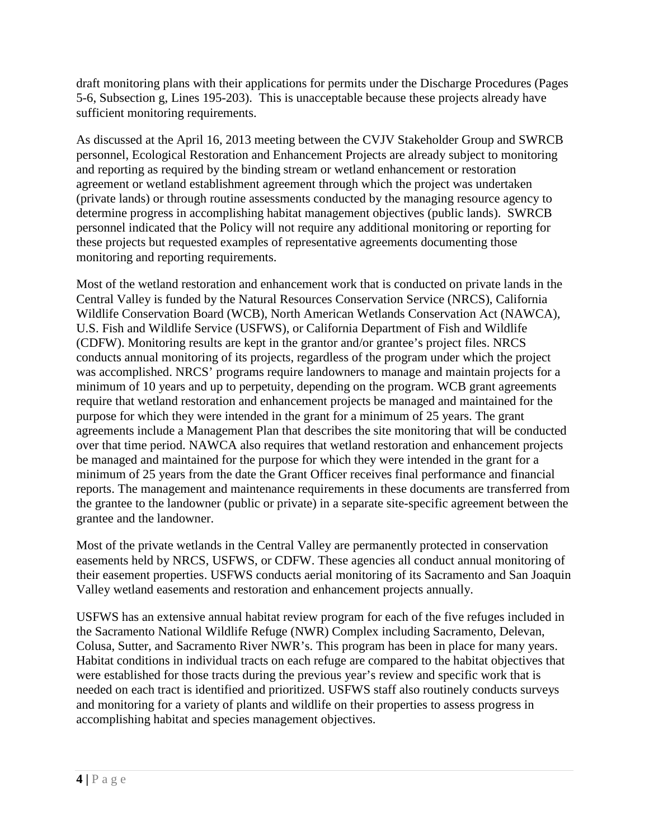draft monitoring plans with their applications for permits under the Discharge Procedures (Pages 5-6, Subsection g, Lines 195-203). This is unacceptable because these projects already have sufficient monitoring requirements.

As discussed at the April 16, 2013 meeting between the CVJV Stakeholder Group and SWRCB personnel, Ecological Restoration and Enhancement Projects are already subject to monitoring and reporting as required by the binding stream or wetland enhancement or restoration agreement or wetland establishment agreement through which the project was undertaken (private lands) or through routine assessments conducted by the managing resource agency to determine progress in accomplishing habitat management objectives (public lands). SWRCB personnel indicated that the Policy will not require any additional monitoring or reporting for these projects but requested examples of representative agreements documenting those monitoring and reporting requirements.

Most of the wetland restoration and enhancement work that is conducted on private lands in the Central Valley is funded by the Natural Resources Conservation Service (NRCS), California Wildlife Conservation Board (WCB), North American Wetlands Conservation Act (NAWCA), U.S. Fish and Wildlife Service (USFWS), or California Department of Fish and Wildlife (CDFW). Monitoring results are kept in the grantor and/or grantee's project files. NRCS conducts annual monitoring of its projects, regardless of the program under which the project was accomplished. NRCS' programs require landowners to manage and maintain projects for a minimum of 10 years and up to perpetuity, depending on the program. WCB grant agreements require that wetland restoration and enhancement projects be managed and maintained for the purpose for which they were intended in the grant for a minimum of 25 years. The grant agreements include a Management Plan that describes the site monitoring that will be conducted over that time period. NAWCA also requires that wetland restoration and enhancement projects be managed and maintained for the purpose for which they were intended in the grant for a minimum of 25 years from the date the Grant Officer receives final performance and financial reports. The management and maintenance requirements in these documents are transferred from the grantee to the landowner (public or private) in a separate site-specific agreement between the grantee and the landowner.

Most of the private wetlands in the Central Valley are permanently protected in conservation easements held by NRCS, USFWS, or CDFW. These agencies all conduct annual monitoring of their easement properties. USFWS conducts aerial monitoring of its Sacramento and San Joaquin Valley wetland easements and restoration and enhancement projects annually.

USFWS has an extensive annual habitat review program for each of the five refuges included in the Sacramento National Wildlife Refuge (NWR) Complex including Sacramento, Delevan, Colusa, Sutter, and Sacramento River NWR's. This program has been in place for many years. Habitat conditions in individual tracts on each refuge are compared to the habitat objectives that were established for those tracts during the previous year's review and specific work that is needed on each tract is identified and prioritized. USFWS staff also routinely conducts surveys and monitoring for a variety of plants and wildlife on their properties to assess progress in accomplishing habitat and species management objectives.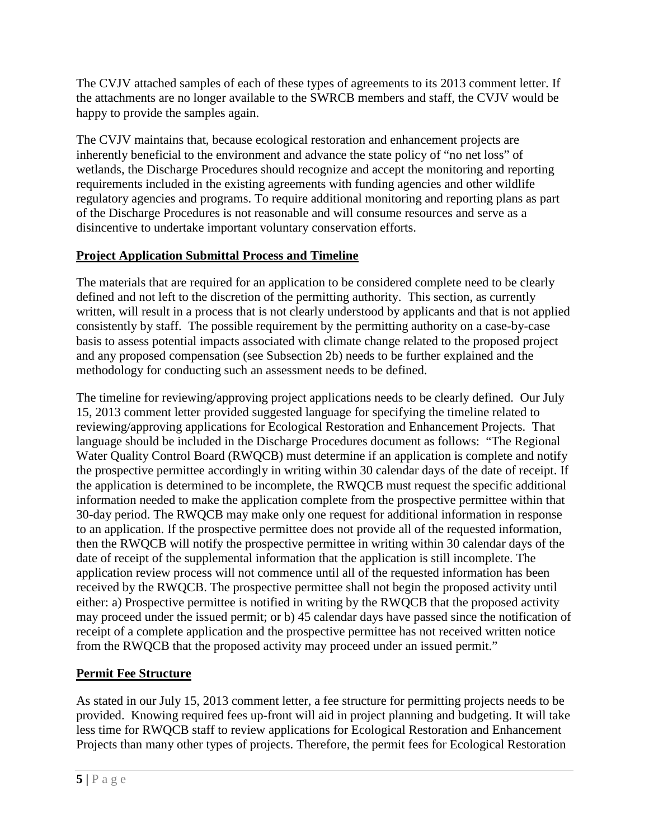The CVJV attached samples of each of these types of agreements to its 2013 comment letter. If the attachments are no longer available to the SWRCB members and staff, the CVJV would be happy to provide the samples again.

The CVJV maintains that, because ecological restoration and enhancement projects are inherently beneficial to the environment and advance the state policy of "no net loss" of wetlands, the Discharge Procedures should recognize and accept the monitoring and reporting requirements included in the existing agreements with funding agencies and other wildlife regulatory agencies and programs. To require additional monitoring and reporting plans as part of the Discharge Procedures is not reasonable and will consume resources and serve as a disincentive to undertake important voluntary conservation efforts.

#### **Project Application Submittal Process and Timeline**

The materials that are required for an application to be considered complete need to be clearly defined and not left to the discretion of the permitting authority. This section, as currently written, will result in a process that is not clearly understood by applicants and that is not applied consistently by staff. The possible requirement by the permitting authority on a case-by-case basis to assess potential impacts associated with climate change related to the proposed project and any proposed compensation (see Subsection 2b) needs to be further explained and the methodology for conducting such an assessment needs to be defined.

The timeline for reviewing/approving project applications needs to be clearly defined. Our July 15, 2013 comment letter provided suggested language for specifying the timeline related to reviewing/approving applications for Ecological Restoration and Enhancement Projects. That language should be included in the Discharge Procedures document as follows: "The Regional Water Quality Control Board (RWQCB) must determine if an application is complete and notify the prospective permittee accordingly in writing within 30 calendar days of the date of receipt. If the application is determined to be incomplete, the RWQCB must request the specific additional information needed to make the application complete from the prospective permittee within that 30-day period. The RWQCB may make only one request for additional information in response to an application. If the prospective permittee does not provide all of the requested information, then the RWQCB will notify the prospective permittee in writing within 30 calendar days of the date of receipt of the supplemental information that the application is still incomplete. The application review process will not commence until all of the requested information has been received by the RWQCB. The prospective permittee shall not begin the proposed activity until either: a) Prospective permittee is notified in writing by the RWQCB that the proposed activity may proceed under the issued permit; or b) 45 calendar days have passed since the notification of receipt of a complete application and the prospective permittee has not received written notice from the RWQCB that the proposed activity may proceed under an issued permit."

# **Permit Fee Structure**

As stated in our July 15, 2013 comment letter, a fee structure for permitting projects needs to be provided. Knowing required fees up-front will aid in project planning and budgeting. It will take less time for RWQCB staff to review applications for Ecological Restoration and Enhancement Projects than many other types of projects. Therefore, the permit fees for Ecological Restoration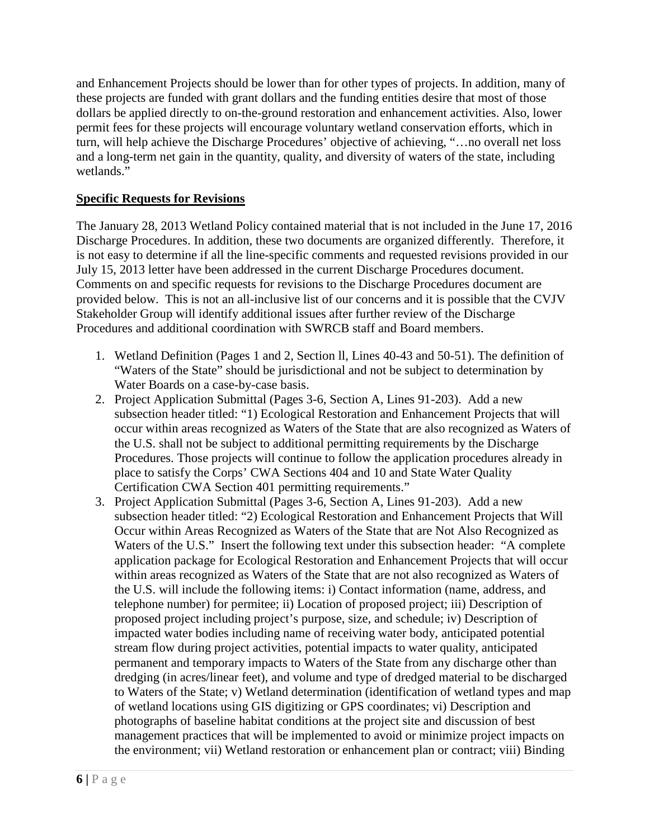and Enhancement Projects should be lower than for other types of projects. In addition, many of these projects are funded with grant dollars and the funding entities desire that most of those dollars be applied directly to on-the-ground restoration and enhancement activities. Also, lower permit fees for these projects will encourage voluntary wetland conservation efforts, which in turn, will help achieve the Discharge Procedures' objective of achieving, "…no overall net loss and a long-term net gain in the quantity, quality, and diversity of waters of the state, including wetlands."

#### **Specific Requests for Revisions**

The January 28, 2013 Wetland Policy contained material that is not included in the June 17, 2016 Discharge Procedures. In addition, these two documents are organized differently. Therefore, it is not easy to determine if all the line-specific comments and requested revisions provided in our July 15, 2013 letter have been addressed in the current Discharge Procedures document. Comments on and specific requests for revisions to the Discharge Procedures document are provided below. This is not an all-inclusive list of our concerns and it is possible that the CVJV Stakeholder Group will identify additional issues after further review of the Discharge Procedures and additional coordination with SWRCB staff and Board members.

- 1. Wetland Definition (Pages 1 and 2, Section ll, Lines 40-43 and 50-51). The definition of "Waters of the State" should be jurisdictional and not be subject to determination by Water Boards on a case-by-case basis.
- 2. Project Application Submittal (Pages 3-6, Section A, Lines 91-203). Add a new subsection header titled: "1) Ecological Restoration and Enhancement Projects that will occur within areas recognized as Waters of the State that are also recognized as Waters of the U.S. shall not be subject to additional permitting requirements by the Discharge Procedures. Those projects will continue to follow the application procedures already in place to satisfy the Corps' CWA Sections 404 and 10 and State Water Quality Certification CWA Section 401 permitting requirements."
- 3. Project Application Submittal (Pages 3-6, Section A, Lines 91-203). Add a new subsection header titled: "2) Ecological Restoration and Enhancement Projects that Will Occur within Areas Recognized as Waters of the State that are Not Also Recognized as Waters of the U.S." Insert the following text under this subsection header: "A complete application package for Ecological Restoration and Enhancement Projects that will occur within areas recognized as Waters of the State that are not also recognized as Waters of the U.S. will include the following items: i) Contact information (name, address, and telephone number) for permitee; ii) Location of proposed project; iii) Description of proposed project including project's purpose, size, and schedule; iv) Description of impacted water bodies including name of receiving water body, anticipated potential stream flow during project activities, potential impacts to water quality, anticipated permanent and temporary impacts to Waters of the State from any discharge other than dredging (in acres/linear feet), and volume and type of dredged material to be discharged to Waters of the State; v) Wetland determination (identification of wetland types and map of wetland locations using GIS digitizing or GPS coordinates; vi) Description and photographs of baseline habitat conditions at the project site and discussion of best management practices that will be implemented to avoid or minimize project impacts on the environment; vii) Wetland restoration or enhancement plan or contract; viii) Binding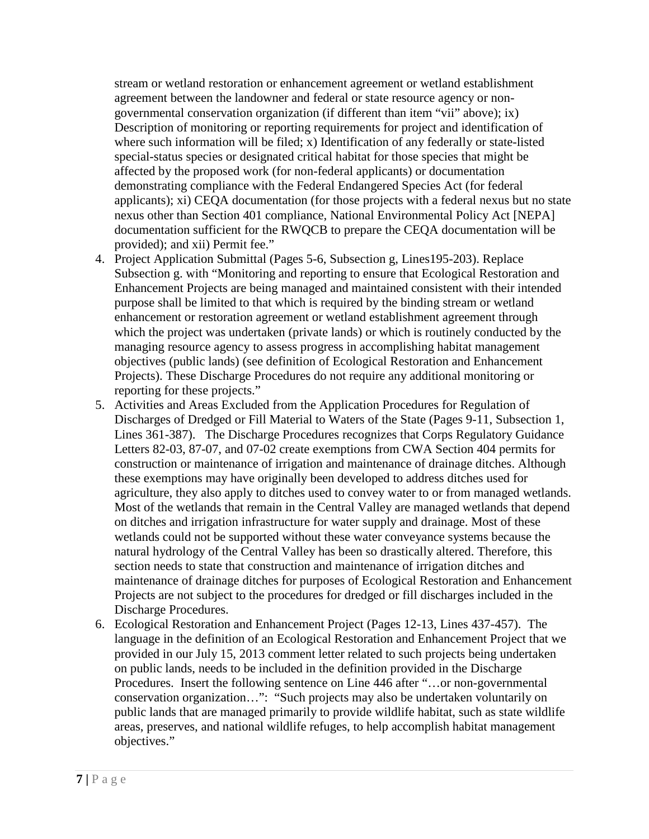stream or wetland restoration or enhancement agreement or wetland establishment agreement between the landowner and federal or state resource agency or nongovernmental conservation organization (if different than item "vii" above); ix) Description of monitoring or reporting requirements for project and identification of where such information will be filed; x) Identification of any federally or state-listed special-status species or designated critical habitat for those species that might be affected by the proposed work (for non-federal applicants) or documentation demonstrating compliance with the Federal Endangered Species Act (for federal applicants); xi) CEQA documentation (for those projects with a federal nexus but no state nexus other than Section 401 compliance, National Environmental Policy Act [NEPA] documentation sufficient for the RWQCB to prepare the CEQA documentation will be provided); and xii) Permit fee."

- 4. Project Application Submittal (Pages 5-6, Subsection g, Lines195-203). Replace Subsection g. with "Monitoring and reporting to ensure that Ecological Restoration and Enhancement Projects are being managed and maintained consistent with their intended purpose shall be limited to that which is required by the binding stream or wetland enhancement or restoration agreement or wetland establishment agreement through which the project was undertaken (private lands) or which is routinely conducted by the managing resource agency to assess progress in accomplishing habitat management objectives (public lands) (see definition of Ecological Restoration and Enhancement Projects). These Discharge Procedures do not require any additional monitoring or reporting for these projects."
- 5. Activities and Areas Excluded from the Application Procedures for Regulation of Discharges of Dredged or Fill Material to Waters of the State (Pages 9-11, Subsection 1, Lines 361-387). The Discharge Procedures recognizes that Corps Regulatory Guidance Letters 82-03, 87-07, and 07-02 create exemptions from CWA Section 404 permits for construction or maintenance of irrigation and maintenance of drainage ditches. Although these exemptions may have originally been developed to address ditches used for agriculture, they also apply to ditches used to convey water to or from managed wetlands. Most of the wetlands that remain in the Central Valley are managed wetlands that depend on ditches and irrigation infrastructure for water supply and drainage. Most of these wetlands could not be supported without these water conveyance systems because the natural hydrology of the Central Valley has been so drastically altered. Therefore, this section needs to state that construction and maintenance of irrigation ditches and maintenance of drainage ditches for purposes of Ecological Restoration and Enhancement Projects are not subject to the procedures for dredged or fill discharges included in the Discharge Procedures.
- 6. Ecological Restoration and Enhancement Project (Pages 12-13, Lines 437-457). The language in the definition of an Ecological Restoration and Enhancement Project that we provided in our July 15, 2013 comment letter related to such projects being undertaken on public lands, needs to be included in the definition provided in the Discharge Procedures. Insert the following sentence on Line 446 after "…or non-governmental conservation organization…": "Such projects may also be undertaken voluntarily on public lands that are managed primarily to provide wildlife habitat, such as state wildlife areas, preserves, and national wildlife refuges, to help accomplish habitat management objectives."